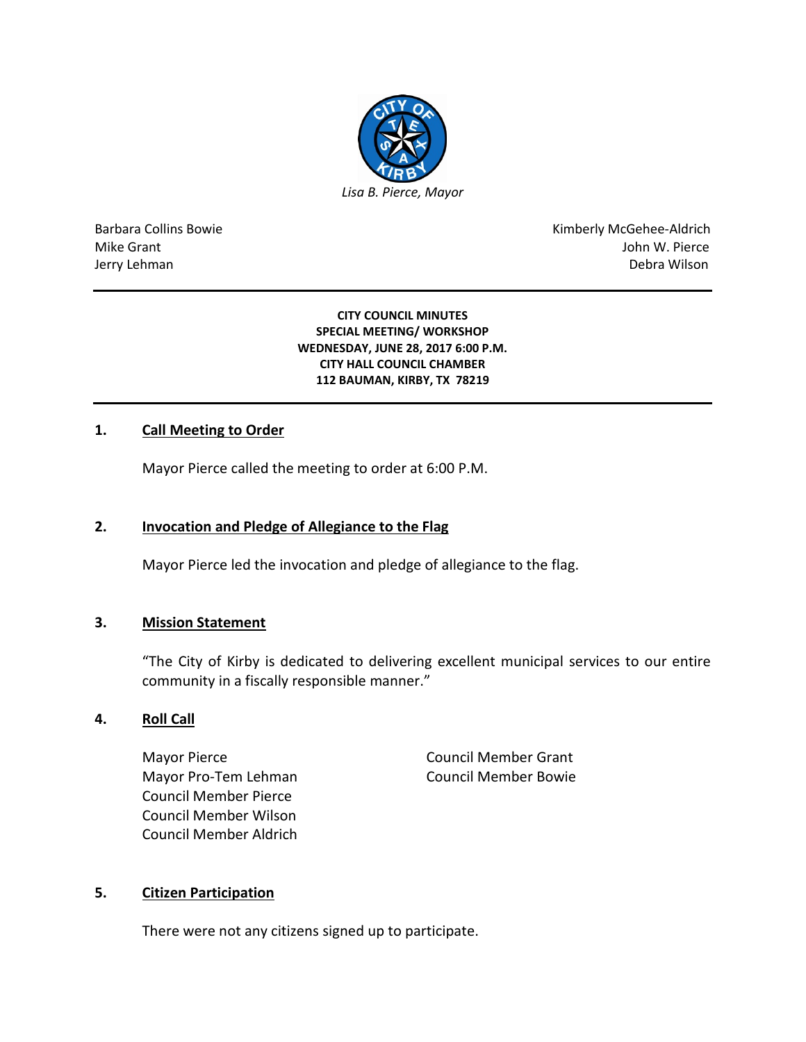

Barbara Collins Bowie **Kimberly McGehee-Aldrich** Mike Grant John W. Pierce Jerry Lehman Debra Wilson (2008) and the state of the state of the state of the state of the state of the state of the state of the state of the state of the state of the state of the state of the state of the state of the

#### **CITY COUNCIL MINUTES SPECIAL MEETING/ WORKSHOP WEDNESDAY, JUNE 28, 2017 6:00 P.M. CITY HALL COUNCIL CHAMBER 112 BAUMAN, KIRBY, TX 78219**

## **1. Call Meeting to Order**

Mayor Pierce called the meeting to order at 6:00 P.M.

## **2. Invocation and Pledge of Allegiance to the Flag**

Mayor Pierce led the invocation and pledge of allegiance to the flag.

## **3. Mission Statement**

"The City of Kirby is dedicated to delivering excellent municipal services to our entire community in a fiscally responsible manner."

### **4. Roll Call**

Mayor Pierce **Council Member Grant** Mayor Pro-Tem Lehman Council Member Bowie Council Member Pierce Council Member Wilson Council Member Aldrich

## **5. Citizen Participation**

There were not any citizens signed up to participate.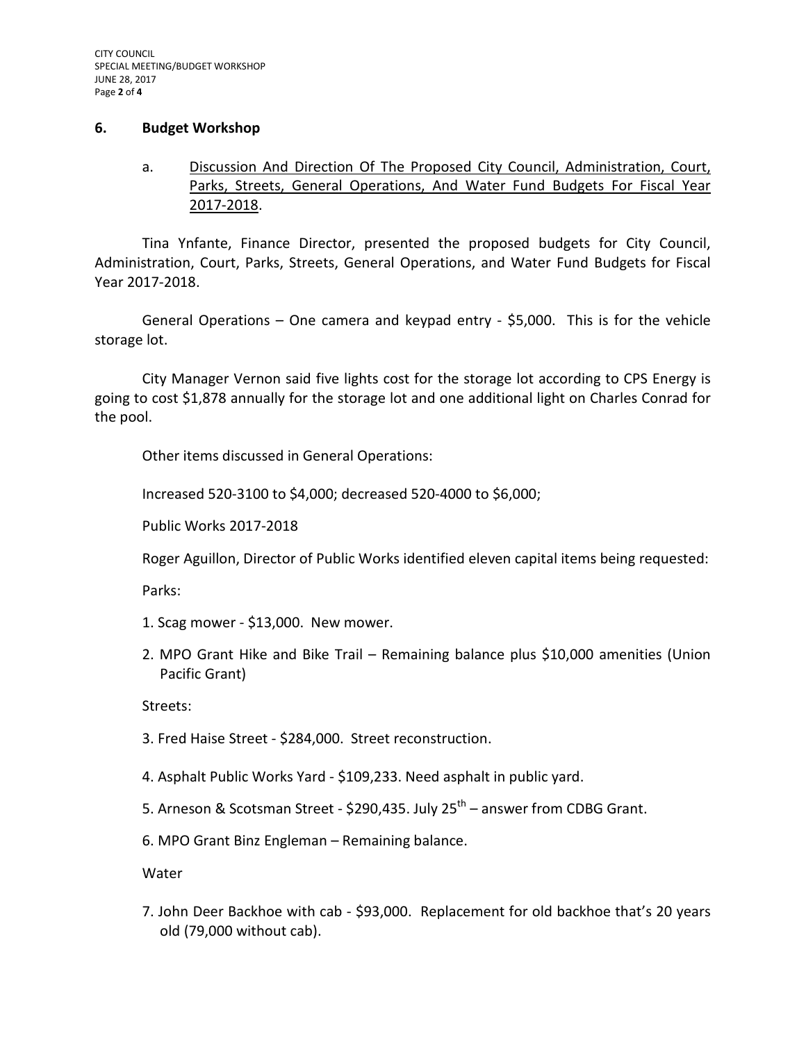### **6. Budget Workshop**

a. Discussion And Direction Of The Proposed City Council, Administration, Court, Parks, Streets, General Operations, And Water Fund Budgets For Fiscal Year 2017-2018.

Tina Ynfante, Finance Director, presented the proposed budgets for City Council, Administration, Court, Parks, Streets, General Operations, and Water Fund Budgets for Fiscal Year 2017-2018.

General Operations – One camera and keypad entry - \$5,000. This is for the vehicle storage lot.

City Manager Vernon said five lights cost for the storage lot according to CPS Energy is going to cost \$1,878 annually for the storage lot and one additional light on Charles Conrad for the pool.

Other items discussed in General Operations:

Increased 520-3100 to \$4,000; decreased 520-4000 to \$6,000;

Public Works 2017-2018

Roger Aguillon, Director of Public Works identified eleven capital items being requested:

Parks:

- 1. Scag mower \$13,000. New mower.
- 2. MPO Grant Hike and Bike Trail Remaining balance plus \$10,000 amenities (Union Pacific Grant)

Streets:

- 3. Fred Haise Street \$284,000. Street reconstruction.
- 4. Asphalt Public Works Yard \$109,233. Need asphalt in public yard.
- 5. Arneson & Scotsman Street \$290,435. July  $25^{\text{th}}$  answer from CDBG Grant.
- 6. MPO Grant Binz Engleman Remaining balance.

Water

7. John Deer Backhoe with cab - \$93,000. Replacement for old backhoe that's 20 years old (79,000 without cab).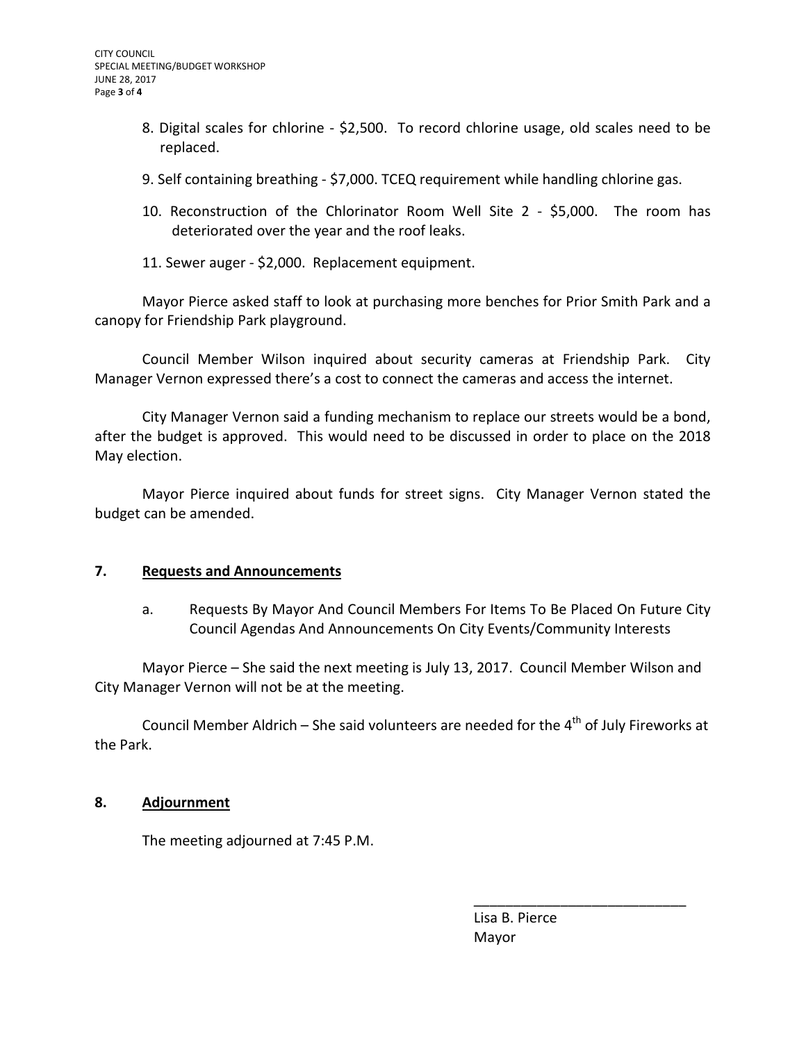- 8. Digital scales for chlorine \$2,500. To record chlorine usage, old scales need to be replaced.
- 9. Self containing breathing \$7,000. TCEQ requirement while handling chlorine gas.
- 10. Reconstruction of the Chlorinator Room Well Site 2 \$5,000. The room has deteriorated over the year and the roof leaks.
- 11. Sewer auger \$2,000. Replacement equipment.

Mayor Pierce asked staff to look at purchasing more benches for Prior Smith Park and a canopy for Friendship Park playground.

Council Member Wilson inquired about security cameras at Friendship Park. City Manager Vernon expressed there's a cost to connect the cameras and access the internet.

City Manager Vernon said a funding mechanism to replace our streets would be a bond, after the budget is approved. This would need to be discussed in order to place on the 2018 May election.

Mayor Pierce inquired about funds for street signs. City Manager Vernon stated the budget can be amended.

## **7. Requests and Announcements**

a. Requests By Mayor And Council Members For Items To Be Placed On Future City Council Agendas And Announcements On City Events/Community Interests

Mayor Pierce – She said the next meeting is July 13, 2017. Council Member Wilson and City Manager Vernon will not be at the meeting.

Council Member Aldrich – She said volunteers are needed for the  $4<sup>th</sup>$  of July Fireworks at the Park.

# **8. Adjournment**

The meeting adjourned at 7:45 P.M.

 Lisa B. Pierce Mayor

\_\_\_\_\_\_\_\_\_\_\_\_\_\_\_\_\_\_\_\_\_\_\_\_\_\_\_